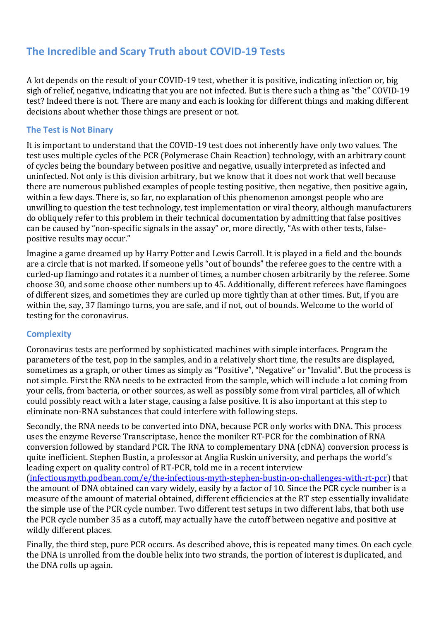# **The Incredible and Scary Truth about COVID-19 Tests**

A lot depends on the result of your COVID-19 test, whether it is positive, indicating infection or, big sigh of relief, negative, indicating that you are not infected. But is there such a thing as "the" COVID-19 test? Indeed there is not. There are many and each is looking for different things and making different decisions about whether those things are present or not.

#### **The Test is Not Binary**

It is important to understand that the COVID-19 test does not inherently have only two values. The test uses multiple cycles of the PCR (Polymerase Chain Reaction) technology, with an arbitrary count of cycles being the boundary between positive and negative, usually interpreted as infected and uninfected. Not only is this division arbitrary, but we know that it does not work that well because there are numerous published examples of people testing positive, then negative, then positive again, within a few days. There is, so far, no explanation of this phenomenon amongst people who are unwilling to question the test technology, test implementation or viral theory, although manufacturers do obliquely refer to this problem in their technical documentation by admitting that false positives can be caused by "non-specific signals in the assay" or, more directly, "As with other tests, falsepositive results may occur."

Imagine a game dreamed up by Harry Potter and Lewis Carroll. It is played in a field and the bounds are a circle that is not marked. If someone yells "out of bounds" the referee goes to the centre with a curled-up flamingo and rotates it a number of times, a number chosen arbitrarily by the referee. Some choose 30, and some choose other numbers up to 45. Additionally, different referees have flamingoes of different sizes, and sometimes they are curled up more tightly than at other times. But, if you are within the, say, 37 flamingo turns, you are safe, and if not, out of bounds. Welcome to the world of testing for the coronavirus.

### **Complexity**

Coronavirus tests are performed by sophisticated machines with simple interfaces. Program the parameters of the test, pop in the samples, and in a relatively short time, the results are displayed, sometimes as a graph, or other times as simply as "Positive", "Negative" or "Invalid". But the process is not simple. First the RNA needs to be extracted from the sample, which will include a lot coming from your cells, from bacteria, or other sources, as well as possibly some from viral particles, all of which could possibly react with a later stage, causing a false positive. It is also important at this step to eliminate non-RNA substances that could interfere with following steps.

Secondly, the RNA needs to be converted into DNA, because PCR only works with DNA. This process uses the enzyme Reverse Transcriptase, hence the moniker RT-PCR for the combination of RNA conversion followed by standard PCR. The RNA to complementary DNA (cDNA) conversion process is quite inefficient. Stephen Bustin, a professor at Anglia Ruskin university, and perhaps the world's leading expert on quality control of RT-PCR, told me in a recent interview

[\(infectiousmyth.podbean.com/e/the-infectious-myth-stephen-bustin-on-challenges-with-rt-pcr\)](https://infectiousmyth.podbean.com/e/the-infectious-myth-stephen-bustin-on-challenges-with-rt-pcr/) that the amount of DNA obtained can vary widely, easily by a factor of 10. Since the PCR cycle number is a measure of the amount of material obtained, different efficiencies at the RT step essentially invalidate the simple use of the PCR cycle number. Two different test setups in two different labs, that both use the PCR cycle number 35 as a cutoff, may actually have the cutoff between negative and positive at wildly different places.

Finally, the third step, pure PCR occurs. As described above, this is repeated many times. On each cycle the DNA is unrolled from the double helix into two strands, the portion of interest is duplicated, and the DNA rolls up again.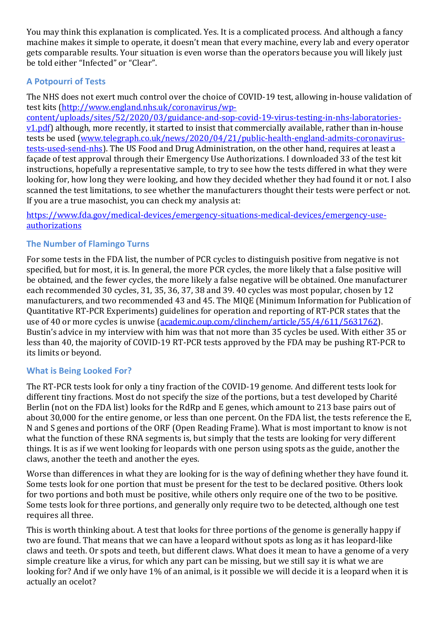You may think this explanation is complicated. Yes. It is a complicated process. And although a fancy machine makes it simple to operate, it doesn't mean that every machine, every lab and every operator gets comparable results. Your situation is even worse than the operators because you will likely just be told either "Infected" or "Clear".

# **A Potpourri of Tests**

The NHS does not exert much control over the choice of COVID-19 test, allowing in-house validation of test kits [\(http://www.england.nhs.uk/coronavirus/wp-](http://www.england.nhs.uk/coronavirus/wp-content/uploads/sites/52/2020/03/guidance-and-sop-covid-19-virus-testing-in-nhs-laboratories-v1.pdf)

[content/uploads/sites/52/2020/03/guidance-and-sop-covid-19-virus-testing-in-nhs-laboratories](http://www.england.nhs.uk/coronavirus/wp-content/uploads/sites/52/2020/03/guidance-and-sop-covid-19-virus-testing-in-nhs-laboratories-v1.pdf)[v1.pdf\)](http://www.england.nhs.uk/coronavirus/wp-content/uploads/sites/52/2020/03/guidance-and-sop-covid-19-virus-testing-in-nhs-laboratories-v1.pdf) although, more recently, it started to insist that commercially available, rather than in-house tests be used [\(www.telegraph.co.uk/news/2020/04/21/public-health-england-admits-coronavirus](https://www.telegraph.co.uk/news/2020/04/21/public-health-england-admits-coronavirus-tests-used-send-nhs)[tests-used-send-nhs\)](https://www.telegraph.co.uk/news/2020/04/21/public-health-england-admits-coronavirus-tests-used-send-nhs). The US Food and Drug Administration, on the other hand, requires at least a façade of test approval through their Emergency Use Authorizations. I downloaded 33 of the test kit instructions, hopefully a representative sample, to try to see how the tests differed in what they were looking for, how long they were looking, and how they decided whether they had found it or not. I also scanned the test limitations, to see whether the manufacturers thought their tests were perfect or not. If you are a true masochist, you can check my analysis at:

[https://www.fda.gov/medical-devices/emergency-situations-medical-devices/emergency-use](https://www.fda.gov/medical-devices/emergency-situations-medical-devices/emergency-use-authorizations)[authorizations](https://www.fda.gov/medical-devices/emergency-situations-medical-devices/emergency-use-authorizations)

# **The Number of Flamingo Turns**

For some tests in the FDA list, the number of PCR cycles to distinguish positive from negative is not specified, but for most, it is. In general, the more PCR cycles, the more likely that a false positive will be obtained, and the fewer cycles, the more likely a false negative will be obtained. One manufacturer each recommended 30 cycles, 31, 35, 36, 37, 38 and 39. 40 cycles was most popular, chosen by 12 manufacturers, and two recommended 43 and 45. The MIQE (Minimum Information for Publication of Quantitative RT-PCR Experiments) guidelines for operation and reporting of RT-PCR states that the use of 40 or more cycles is unwise [\(academic.oup.com/clinchem/article/55/4/611/5631762\)](https://academic.oup.com/clinchem/article/55/4/611/5631762). Bustin's advice in my interview with him was that not more than 35 cycles be used. With either 35 or less than 40, the majority of COVID-19 RT-PCR tests approved by the FDA may be pushing RT-PCR to its limits or beyond.

# **What is Being Looked For?**

The RT-PCR tests look for only a tiny fraction of the COVID-19 genome. And different tests look for different tiny fractions. Most do not specify the size of the portions, but a test developed by Charité Berlin (not on the FDA list) looks for the RdRp and E genes, which amount to 213 base pairs out of about 30,000 for the entire genome, or less than one percent. On the FDA list, the tests reference the E, N and S genes and portions of the ORF (Open Reading Frame). What is most important to know is not what the function of these RNA segments is, but simply that the tests are looking for very different things. It is as if we went looking for leopards with one person using spots as the guide, another the claws, another the teeth and another the eyes.

Worse than differences in what they are looking for is the way of defining whether they have found it. Some tests look for one portion that must be present for the test to be declared positive. Others look for two portions and both must be positive, while others only require one of the two to be positive. Some tests look for three portions, and generally only require two to be detected, although one test requires all three.

This is worth thinking about. A test that looks for three portions of the genome is generally happy if two are found. That means that we can have a leopard without spots as long as it has leopard-like claws and teeth. Or spots and teeth, but different claws. What does it mean to have a genome of a very simple creature like a virus, for which any part can be missing, but we still say it is what we are looking for? And if we only have 1% of an animal, is it possible we will decide it is a leopard when it is actually an ocelot?